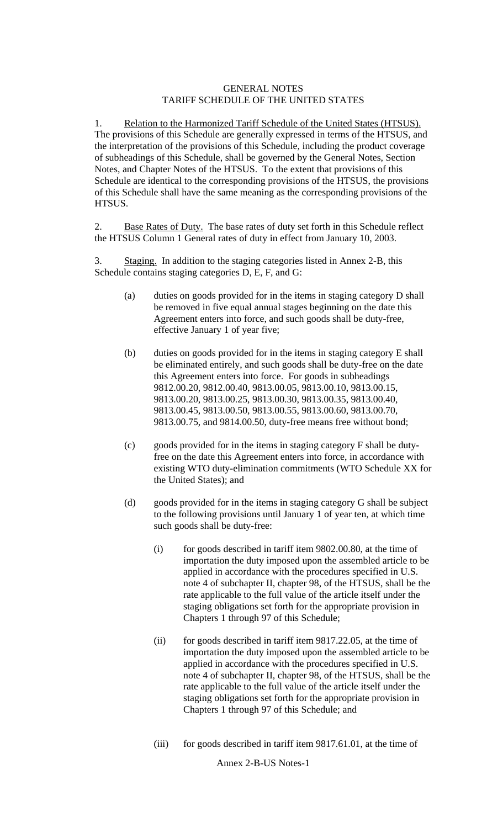## GENERAL NOTES TARIFF SCHEDULE OF THE UNITED STATES

1. Relation to the Harmonized Tariff Schedule of the United States (HTSUS). The provisions of this Schedule are generally expressed in terms of the HTSUS, and the interpretation of the provisions of this Schedule, including the product coverage of subheadings of this Schedule, shall be governed by the General Notes, Section Notes, and Chapter Notes of the HTSUS. To the extent that provisions of this Schedule are identical to the corresponding provisions of the HTSUS, the provisions of this Schedule shall have the same meaning as the corresponding provisions of the HTSUS.

2. Base Rates of Duty. The base rates of duty set forth in this Schedule reflect the HTSUS Column 1 General rates of duty in effect from January 10, 2003.

3. Staging. In addition to the staging categories listed in Annex 2-B, this Schedule contains staging categories D, E, F, and G:

- (a) duties on goods provided for in the items in staging category D shall be removed in five equal annual stages beginning on the date this Agreement enters into force, and such goods shall be duty**-**free, effective January 1 of year five;
- (b) duties on goods provided for in the items in staging category E shall be eliminated entirely, and such goods shall be duty**-**free on the date this Agreement enters into force. For goods in subheadings 9812.00.20, 9812.00.40, 9813.00.05, 9813.00.10, 9813.00.15, 9813.00.20, 9813.00.25, 9813.00.30, 9813.00.35, 9813.00.40, 9813.00.45, 9813.00.50, 9813.00.55, 9813.00.60, 9813.00.70, 9813.00.75, and 9814.00.50, duty-free means free without bond;
- (c) goods provided for in the items in staging category F shall be dutyfree on the date this Agreement enters into force, in accordance with existing WTO duty**-**elimination commitments (WTO Schedule XX for the United States); and
- (d) goods provided for in the items in staging category G shall be subject to the following provisions until January 1 of year ten, at which time such goods shall be duty**-**free:
	- (i) for goods described in tariff item 9802.00.80, at the time of importation the duty imposed upon the assembled article to be applied in accordance with the procedures specified in U.S. note 4 of subchapter II, chapter 98, of the HTSUS, shall be the rate applicable to the full value of the article itself under the staging obligations set forth for the appropriate provision in Chapters 1 through 97 of this Schedule;
	- (ii) for goods described in tariff item 9817.22.05, at the time of importation the duty imposed upon the assembled article to be applied in accordance with the procedures specified in U.S. note 4 of subchapter II, chapter 98, of the HTSUS, shall be the rate applicable to the full value of the article itself under the staging obligations set forth for the appropriate provision in Chapters 1 through 97 of this Schedule; and
	- (iii) for goods described in tariff item 9817.61.01, at the time of

Annex 2-B-US Notes-1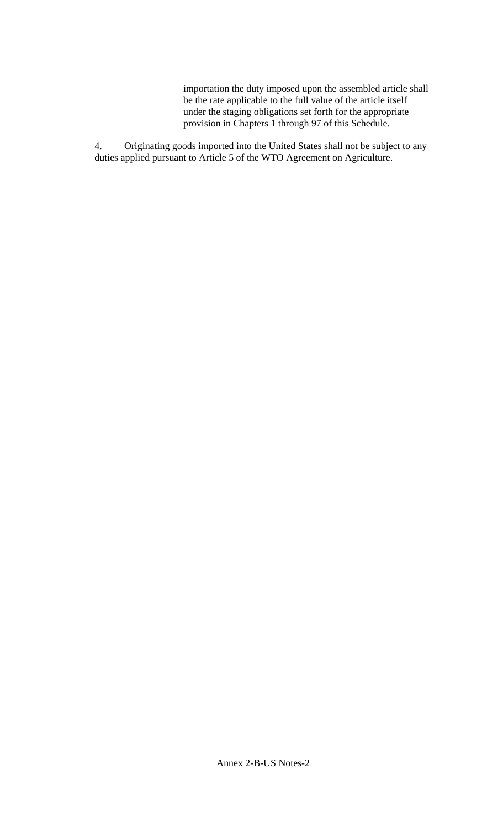importation the duty imposed upon the assembled article shall be the rate applicable to the full value of the article itself under the staging obligations set forth for the appropriate provision in Chapters 1 through 97 of this Schedule.

4. Originating goods imported into the United States shall not be subject to any duties applied pursuant to Article 5 of the WTO Agreement on Agriculture.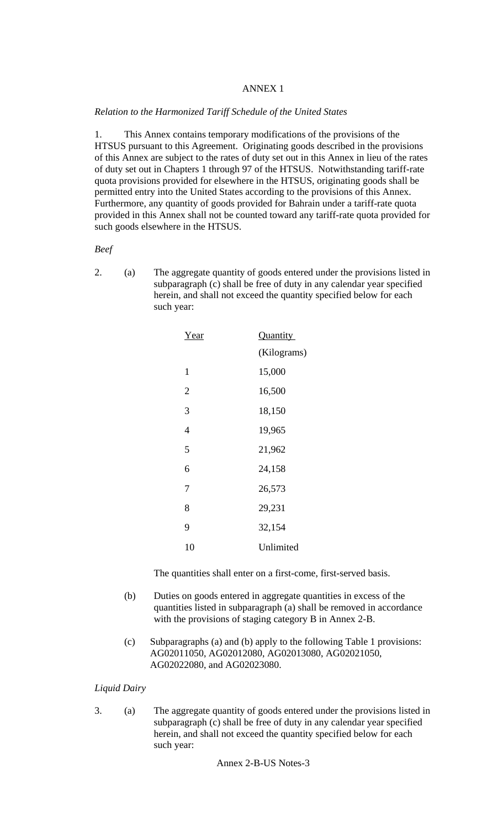## ANNEX 1

### *Relation to the Harmonized Tariff Schedule of the United States*

1. This Annex contains temporary modifications of the provisions of the HTSUS pursuant to this Agreement. Originating goods described in the provisions of this Annex are subject to the rates of duty set out in this Annex in lieu of the rates of duty set out in Chapters 1 through 97 of the HTSUS. Notwithstanding tariff-rate quota provisions provided for elsewhere in the HTSUS, originating goods shall be permitted entry into the United States according to the provisions of this Annex. Furthermore, any quantity of goods provided for Bahrain under a tariff-rate quota provided in this Annex shall not be counted toward any tariff-rate quota provided for such goods elsewhere in the HTSUS.

*Beef* 

2. (a) The aggregate quantity of goods entered under the provisions listed in subparagraph (c) shall be free of duty in any calendar year specified herein, and shall not exceed the quantity specified below for each such year:

| Year           | Quantity    |  |
|----------------|-------------|--|
|                | (Kilograms) |  |
| $\mathbf{1}$   | 15,000      |  |
| $\overline{2}$ | 16,500      |  |
| 3              | 18,150      |  |
| 4              | 19,965      |  |
| 5              | 21,962      |  |
| 6              | 24,158      |  |
| 7              | 26,573      |  |
| 8              | 29,231      |  |
| 9              | 32,154      |  |
| 10             | Unlimited   |  |

The quantities shall enter on a first-come, first-served basis.

- (b) Duties on goods entered in aggregate quantities in excess of the quantities listed in subparagraph (a) shall be removed in accordance with the provisions of staging category B in Annex 2-B.
- (c) Subparagraphs (a) and (b) apply to the following Table 1 provisions: AG02011050, AG02012080, AG02013080, AG02021050, AG02022080, and AG02023080.

## *Liquid Dairy*

3. (a) The aggregate quantity of goods entered under the provisions listed in subparagraph (c) shall be free of duty in any calendar year specified herein, and shall not exceed the quantity specified below for each such year:

Annex 2-B-US Notes-3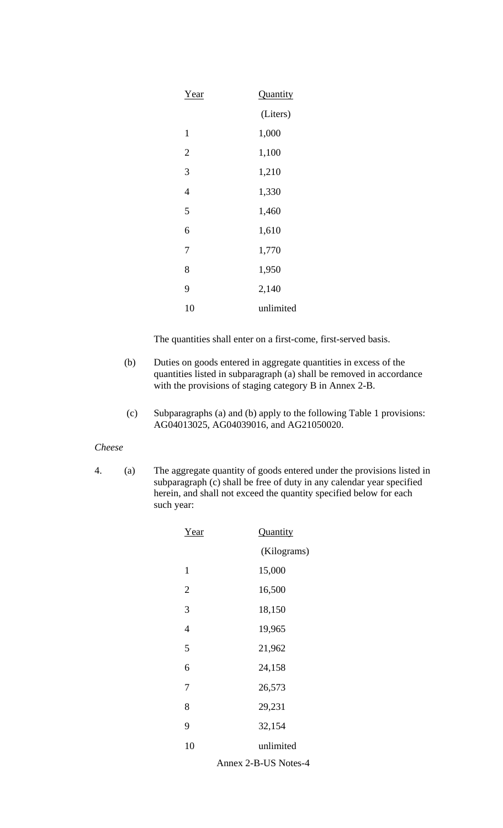| Year           | Quantity  |
|----------------|-----------|
|                | (Liters)  |
| $\mathbf{1}$   | 1,000     |
| $\overline{2}$ | 1,100     |
| 3              | 1,210     |
| $\overline{4}$ | 1,330     |
| 5              | 1,460     |
| 6              | 1,610     |
| 7              | 1,770     |
| 8              | 1,950     |
| 9              | 2,140     |
| 10             | unlimited |

- (b) Duties on goods entered in aggregate quantities in excess of the quantities listed in subparagraph (a) shall be removed in accordance with the provisions of staging category B in Annex 2-B.
- (c) Subparagraphs (a) and (b) apply to the following Table 1 provisions: AG04013025, AG04039016, and AG21050020.

## *Cheese*

4. (a) The aggregate quantity of goods entered under the provisions listed in subparagraph (c) shall be free of duty in any calendar year specified herein, and shall not exceed the quantity specified below for each such year:

| Year           | <b>Quantity</b>                                                            |  |
|----------------|----------------------------------------------------------------------------|--|
|                | (Kilograms)                                                                |  |
| 1              | 15,000                                                                     |  |
| $\overline{2}$ | 16,500                                                                     |  |
| 3              | 18,150                                                                     |  |
| $\overline{4}$ | 19,965                                                                     |  |
| 5              | 21,962                                                                     |  |
| 6              | 24,158                                                                     |  |
| 7              | 26,573                                                                     |  |
| 8              | 29,231                                                                     |  |
| 9              | 32,154                                                                     |  |
| 10             | unlimited                                                                  |  |
|                | TTO NT J<br>$\blacktriangle$<br>$\sim$<br>$\boldsymbol{A}$<br><sub>n</sub> |  |

Annex 2-B-US Notes-4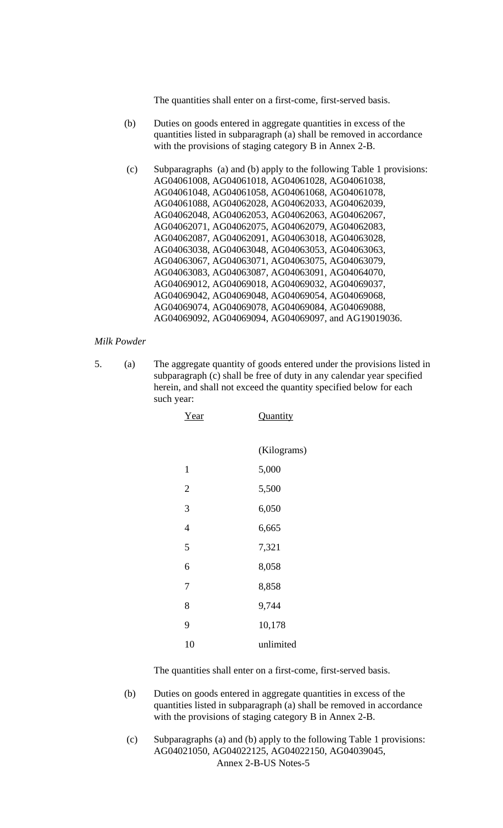- (b) Duties on goods entered in aggregate quantities in excess of the quantities listed in subparagraph (a) shall be removed in accordance with the provisions of staging category B in Annex 2-B.
- (c) Subparagraphs (a) and (b) apply to the following Table 1 provisions: AG04061008, AG04061018, AG04061028, AG04061038, AG04061048, AG04061058, AG04061068, AG04061078, AG04061088, AG04062028, AG04062033, AG04062039, AG04062048, AG04062053, AG04062063, AG04062067, AG04062071, AG04062075, AG04062079, AG04062083, AG04062087, AG04062091, AG04063018, AG04063028, AG04063038, AG04063048, AG04063053, AG04063063, AG04063067, AG04063071, AG04063075, AG04063079, AG04063083, AG04063087, AG04063091, AG04064070, AG04069012, AG04069018, AG04069032, AG04069037, AG04069042, AG04069048, AG04069054, AG04069068, AG04069074, AG04069078, AG04069084, AG04069088, AG04069092, AG04069094, AG04069097, and AG19019036.

### *Milk Powder*

5. (a) The aggregate quantity of goods entered under the provisions listed in subparagraph (c) shall be free of duty in any calendar year specified herein, and shall not exceed the quantity specified below for each such year:

| Quantity    |
|-------------|
| (Kilograms) |
| 5,000       |
| 5,500       |
| 6,050       |
| 6,665       |
| 7,321       |
| 8,058       |
| 8,858       |
| 9,744       |
| 10,178      |
| unlimited   |
|             |

The quantities shall enter on a first-come, first-served basis.

- (b) Duties on goods entered in aggregate quantities in excess of the quantities listed in subparagraph (a) shall be removed in accordance with the provisions of staging category B in Annex 2-B.
- Annex 2-B-US Notes-5 (c) Subparagraphs (a) and (b) apply to the following Table 1 provisions: AG04021050, AG04022125, AG04022150, AG04039045,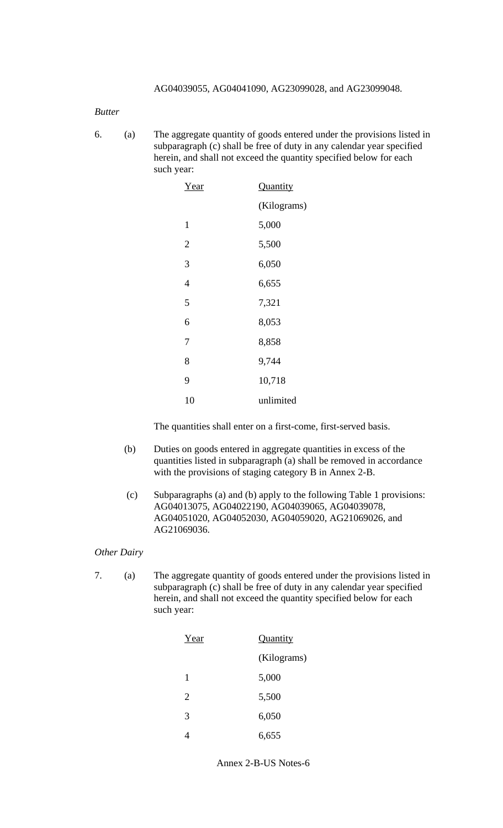# *Butter*

6. (a) The aggregate quantity of goods entered under the provisions listed in subparagraph (c) shall be free of duty in any calendar year specified herein, and shall not exceed the quantity specified below for each such year:

| Year           | Quantity    |  |
|----------------|-------------|--|
|                | (Kilograms) |  |
| 1              | 5,000       |  |
| $\overline{2}$ | 5,500       |  |
| 3              | 6,050       |  |
| $\overline{4}$ | 6,655       |  |
| 5              | 7,321       |  |
| 6              | 8,053       |  |
| 7              | 8,858       |  |
| 8              | 9,744       |  |
| 9              | 10,718      |  |
| 10             | unlimited   |  |

The quantities shall enter on a first-come, first-served basis.

- (b) Duties on goods entered in aggregate quantities in excess of the quantities listed in subparagraph (a) shall be removed in accordance with the provisions of staging category B in Annex 2-B.
- (c) Subparagraphs (a) and (b) apply to the following Table 1 provisions: AG04013075, AG04022190, AG04039065, AG04039078, AG04051020, AG04052030, AG04059020, AG21069026, and AG21069036.

#### *Other Dairy*

7. (a) The aggregate quantity of goods entered under the provisions listed in subparagraph (c) shall be free of duty in any calendar year specified herein, and shall not exceed the quantity specified below for each such year:

| Year           | Quantity    |  |
|----------------|-------------|--|
|                | (Kilograms) |  |
| 1              | 5,000       |  |
| $\overline{2}$ | 5,500       |  |
| 3              | 6,050       |  |
|                | 6,655       |  |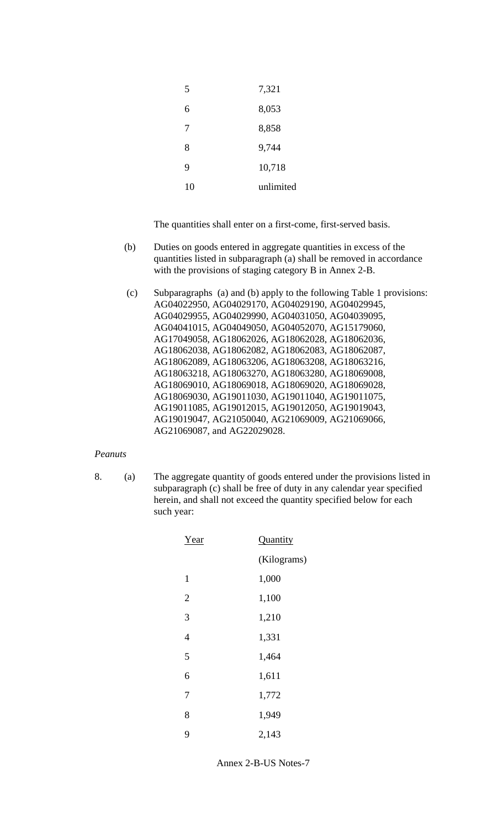| 5  | 7,321     |
|----|-----------|
| 6  | 8,053     |
| 7  | 8,858     |
| 8  | 9,744     |
| 9  | 10,718    |
| 10 | unlimited |

- (b) Duties on goods entered in aggregate quantities in excess of the quantities listed in subparagraph (a) shall be removed in accordance with the provisions of staging category B in Annex 2-B.
- (c) Subparagraphs (a) and (b) apply to the following Table 1 provisions: AG04022950, AG04029170, AG04029190, AG04029945, AG04029955, AG04029990, AG04031050, AG04039095, AG04041015, AG04049050, AG04052070, AG15179060, AG17049058, AG18062026, AG18062028, AG18062036, AG18062038, AG18062082, AG18062083, AG18062087, AG18062089, AG18063206, AG18063208, AG18063216, AG18063218, AG18063270, AG18063280, AG18069008, AG18069010, AG18069018, AG18069020, AG18069028, AG18069030, AG19011030, AG19011040, AG19011075, AG19011085, AG19012015, AG19012050, AG19019043, AG19019047, AG21050040, AG21069009, AG21069066, AG21069087, and AG22029028.

# *Peanuts*

8. (a) The aggregate quantity of goods entered under the provisions listed in subparagraph (c) shall be free of duty in any calendar year specified herein, and shall not exceed the quantity specified below for each such year:

| Year           | Quantity    |  |
|----------------|-------------|--|
|                | (Kilograms) |  |
| $\mathbf{1}$   | 1,000       |  |
| $\overline{2}$ | 1,100       |  |
| 3              | 1,210       |  |
| $\overline{4}$ | 1,331       |  |
| 5              | 1,464       |  |
| 6              | 1,611       |  |
| 7              | 1,772       |  |
| 8              | 1,949       |  |
| 9              | 2,143       |  |

Annex 2-B-US Notes-7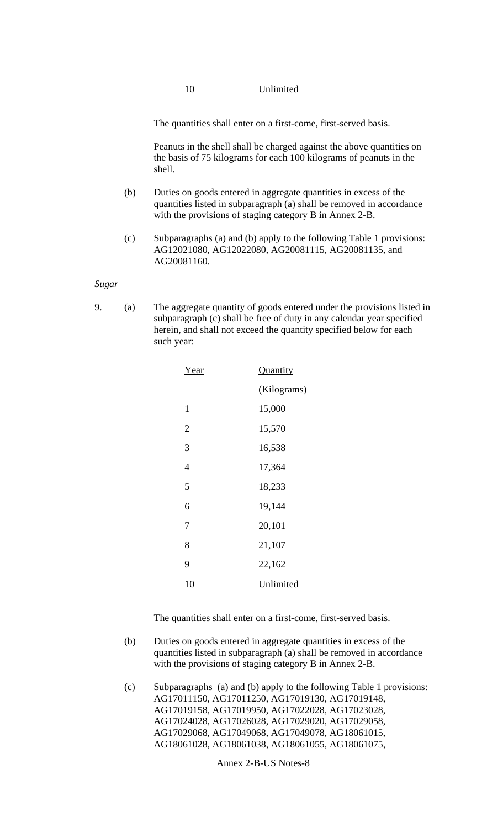# 10 Unlimited

The quantities shall enter on a first-come, first-served basis.

Peanuts in the shell shall be charged against the above quantities on the basis of 75 kilograms for each 100 kilograms of peanuts in the shell.

- (b) Duties on goods entered in aggregate quantities in excess of the quantities listed in subparagraph (a) shall be removed in accordance with the provisions of staging category B in Annex 2-B.
- (c) Subparagraphs (a) and (b) apply to the following Table 1 provisions: AG12021080, AG12022080, AG20081115, AG20081135, and AG20081160.

### *Sugar*

9. (a) The aggregate quantity of goods entered under the provisions listed in subparagraph (c) shall be free of duty in any calendar year specified herein, and shall not exceed the quantity specified below for each such year:

| Year           | Quantity    |  |
|----------------|-------------|--|
|                | (Kilograms) |  |
| $\mathbf{1}$   | 15,000      |  |
| $\overline{2}$ | 15,570      |  |
| 3              | 16,538      |  |
| 4              | 17,364      |  |
| 5              | 18,233      |  |
| 6              | 19,144      |  |
| 7              | 20,101      |  |
| 8              | 21,107      |  |
| 9              | 22,162      |  |
| 10             | Unlimited   |  |
|                |             |  |

The quantities shall enter on a first-come, first-served basis.

- (b) Duties on goods entered in aggregate quantities in excess of the quantities listed in subparagraph (a) shall be removed in accordance with the provisions of staging category B in Annex 2-B.
- (c) Subparagraphs (a) and (b) apply to the following Table 1 provisions: AG17011150, AG17011250, AG17019130, AG17019148, AG17019158, AG17019950, AG17022028, AG17023028, AG17024028, AG17026028, AG17029020, AG17029058, AG17029068, AG17049068, AG17049078, AG18061015, AG18061028, AG18061038, AG18061055, AG18061075,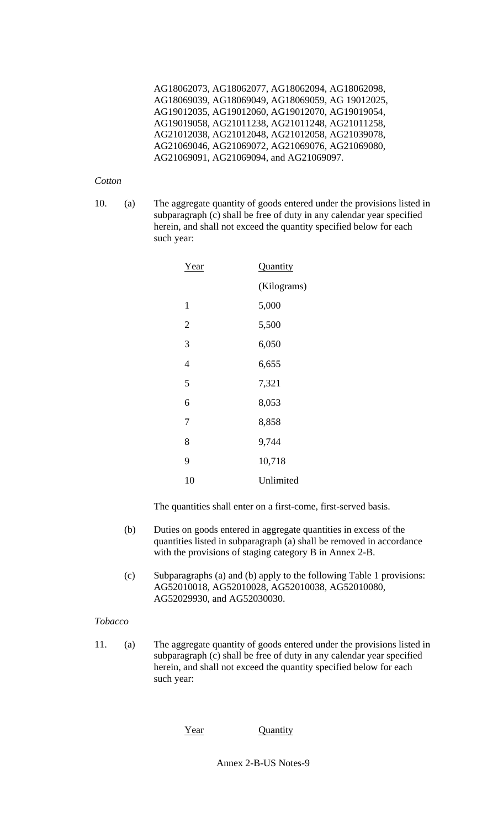AG18062073, AG18062077, AG18062094, AG18062098, AG18069039, AG18069049, AG18069059, AG 19012025, AG19012035, AG19012060, AG19012070, AG19019054, AG19019058, AG21011238, AG21011248, AG21011258, AG21012038, AG21012048, AG21012058, AG21039078, AG21069046, AG21069072, AG21069076, AG21069080, AG21069091, AG21069094, and AG21069097.

### *Cotton*

10. (a) The aggregate quantity of goods entered under the provisions listed in subparagraph (c) shall be free of duty in any calendar year specified herein, and shall not exceed the quantity specified below for each such year:

| Year         | Quantity    |
|--------------|-------------|
|              | (Kilograms) |
| $\mathbf{1}$ | 5,000       |
| 2            | 5,500       |
| 3            | 6,050       |
| 4            | 6,655       |
| 5            | 7,321       |
| 6            | 8,053       |
| 7            | 8,858       |
| 8            | 9,744       |
| 9            | 10,718      |
| 10           | Unlimited   |

The quantities shall enter on a first-come, first-served basis.

- (b) Duties on goods entered in aggregate quantities in excess of the quantities listed in subparagraph (a) shall be removed in accordance with the provisions of staging category B in Annex 2-B.
- (c) Subparagraphs (a) and (b) apply to the following Table 1 provisions: AG52010018, AG52010028, AG52010038, AG52010080, AG52029930, and AG52030030.

# *Tobacco*

11. (a) The aggregate quantity of goods entered under the provisions listed in subparagraph (c) shall be free of duty in any calendar year specified herein, and shall not exceed the quantity specified below for each such year:

Year Quantity

Annex 2-B-US Notes-9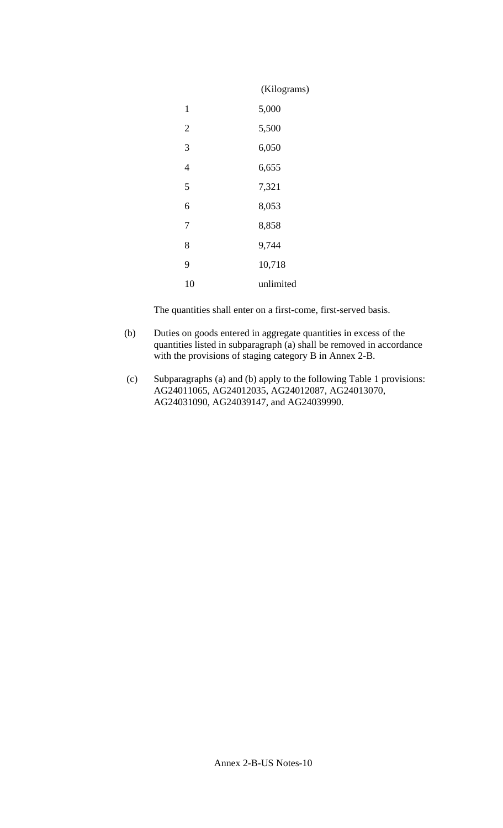|                | (Kilograms) |
|----------------|-------------|
| 1              | 5,000       |
| $\overline{2}$ | 5,500       |
| 3              | 6,050       |
| $\overline{4}$ | 6,655       |
| 5              | 7,321       |
| 6              | 8,053       |
| 7              | 8,858       |
| 8              | 9,744       |
| 9              | 10,718      |
| 10             | unlimited   |

- (b) Duties on goods entered in aggregate quantities in excess of the quantities listed in subparagraph (a) shall be removed in accordance with the provisions of staging category B in Annex 2-B.
- (c) Subparagraphs (a) and (b) apply to the following Table 1 provisions: AG24011065, AG24012035, AG24012087, AG24013070, AG24031090, AG24039147, and AG24039990.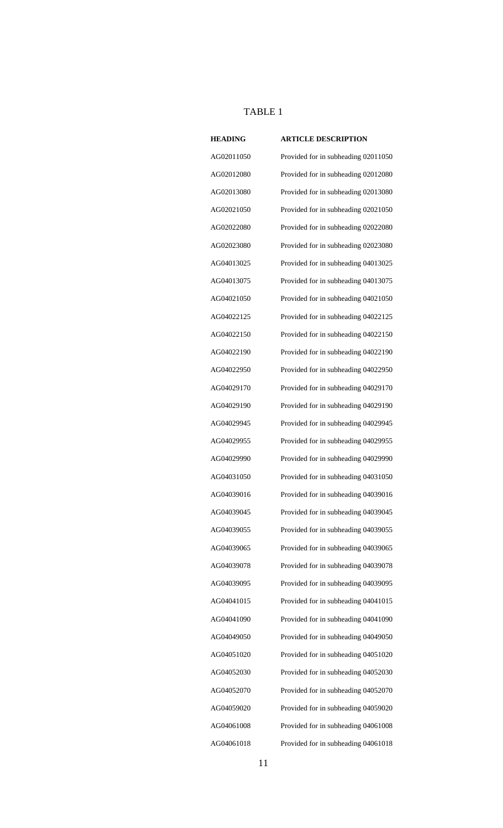# TABLE 1

| <b>HEADING</b> | <b>ARTICLE DESCRIPTION</b>          |
|----------------|-------------------------------------|
| AG02011050     | Provided for in subheading 02011050 |
| AG02012080     | Provided for in subheading 02012080 |
| AG02013080     | Provided for in subheading 02013080 |
| AG02021050     | Provided for in subheading 02021050 |
| AG02022080     | Provided for in subheading 02022080 |
| AG02023080     | Provided for in subheading 02023080 |
| AG04013025     | Provided for in subheading 04013025 |
| AG04013075     | Provided for in subheading 04013075 |
| AG04021050     | Provided for in subheading 04021050 |
| AG04022125     | Provided for in subheading 04022125 |
| AG04022150     | Provided for in subheading 04022150 |
| AG04022190     | Provided for in subheading 04022190 |
| AG04022950     | Provided for in subheading 04022950 |
| AG04029170     | Provided for in subheading 04029170 |
| AG04029190     | Provided for in subheading 04029190 |
| AG04029945     | Provided for in subheading 04029945 |
| AG04029955     | Provided for in subheading 04029955 |
| AG04029990     | Provided for in subheading 04029990 |
| AG04031050     | Provided for in subheading 04031050 |
| AG04039016     | Provided for in subheading 04039016 |
| AG04039045     | Provided for in subheading 04039045 |
| AG04039055     | Provided for in subheading 04039055 |
| AG04039065     | Provided for in subheading 04039065 |
| AG04039078     | Provided for in subheading 04039078 |
| AG04039095     | Provided for in subheading 04039095 |
| AG04041015     | Provided for in subheading 04041015 |
| AG04041090     | Provided for in subheading 04041090 |
| AG04049050     | Provided for in subheading 04049050 |
| AG04051020     | Provided for in subheading 04051020 |
| AG04052030     | Provided for in subheading 04052030 |
| AG04052070     | Provided for in subheading 04052070 |
| AG04059020     | Provided for in subheading 04059020 |
| AG04061008     | Provided for in subheading 04061008 |
| AG04061018     | Provided for in subheading 04061018 |

| 70 |  |
|----|--|
| 20 |  |
| 08 |  |
| 18 |  |
|    |  |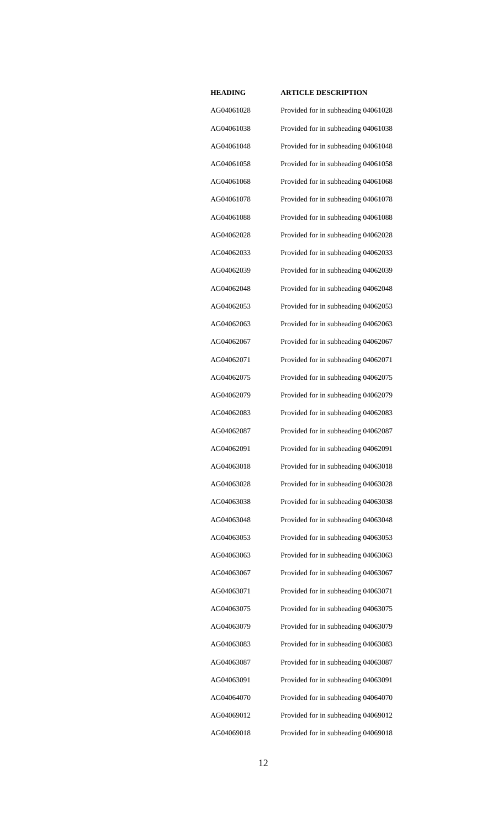AG04061028 Provided for in subheading 04061028 AG04061038 Provided for in subheading 04061038 AG04061048 Provided for in subheading 04061048 AG04061058 Provided for in subheading 04061058 AG04061068 Provided for in subheading 04061068 AG04061078 Provided for in subheading 04061078 AG04061088 Provided for in subheading 04061088 AG04062028 Provided for in subheading 04062028 AG04062033 Provided for in subheading 04062033 AG04062039 Provided for in subheading 04062039 AG04062048 Provided for in subheading 04062048 AG04062053 Provided for in subheading 04062053 AG04062063 Provided for in subheading 04062063 AG04062067 Provided for in subheading 04062067 AG04062071 Provided for in subheading 04062071 AG04062075 Provided for in subheading 04062075 AG04062079 Provided for in subheading 04062079 AG04062083 Provided for in subheading 04062083 AG04062087 Provided for in subheading 04062087 AG04062091 Provided for in subheading 04062091 AG04063018 Provided for in subheading 04063018 AG04063028 Provided for in subheading 04063028 AG04063038 Provided for in subheading 04063038 AG04063048 Provided for in subheading 04063048 AG04063053 Provided for in subheading 04063053 AG04063063 Provided for in subheading 04063063 AG04063067 Provided for in subheading 04063067 AG04063071 Provided for in subheading 04063071 AG04063075 Provided for in subheading 04063075 AG04063079 Provided for in subheading 04063079 AG04063083 Provided for in subheading 04063083 AG04063087 Provided for in subheading 04063087 AG04063091 Provided for in subheading 04063091 AG04064070 Provided for in subheading 04064070 AG04069012 Provided for in subheading 04069012 AG04069018 Provided for in subheading 04069018

| UU4U01UZ8 |
|-----------|
| G04061038 |
| G04061048 |
| G04061058 |
| G04061068 |
| G04061078 |
| G04061088 |
| G04062028 |
| G04062033 |
| G04062039 |
| G04062048 |
| G04062053 |
| G04062063 |
| G04062067 |
| G04062071 |
| G04062075 |
| G04062079 |
| G04062083 |
| G04062087 |
| G04062091 |
| G04063018 |
| G04063028 |
| G04063038 |
| G04063048 |
| G04063053 |
| G04063063 |
| G04063067 |
| G04063071 |
| G04063075 |
| G04063079 |
| G04063083 |
| G04063087 |
| G04063091 |
| G04064070 |
| G04069012 |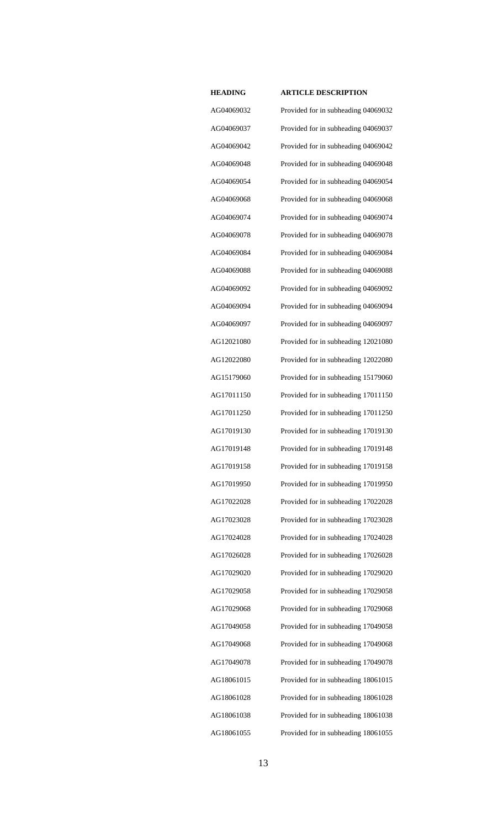AG04069032 Provided for in subheading 04069032 AG04069037 Provided for in subheading 04069037 AG04069042 Provided for in subheading 04069042 AG04069048 Provided for in subheading 04069048 AG04069054 Provided for in subheading 04069054 AG04069068 Provided for in subheading 04069068 AG04069074 Provided for in subheading 04069074 AG04069078 Provided for in subheading 04069078 AG04069084 Provided for in subheading 04069084 AG04069088 Provided for in subheading 04069088 AG04069092 Provided for in subheading 04069092 AG04069094 Provided for in subheading 04069094 AG04069097 Provided for in subheading 04069097 AG12021080 Provided for in subheading 12021080 AG12022080 Provided for in subheading 12022080 AG15179060 Provided for in subheading 15179060 AG17011150 Provided for in subheading 17011150 AG17011250 Provided for in subheading 17011250 AG17019130 Provided for in subheading 17019130 AG17019148 Provided for in subheading 17019148 AG17019158 Provided for in subheading 17019158 AG17019950 Provided for in subheading 17019950 AG17022028 Provided for in subheading 17022028 AG17023028 Provided for in subheading 17023028 AG17024028 Provided for in subheading 17024028 AG17026028 Provided for in subheading 17026028 AG17029020 Provided for in subheading 17029020 AG17029058 Provided for in subheading 17029058 AG17029068 Provided for in subheading 17029068 AG17049058 Provided for in subheading 17049058 AG17049068 Provided for in subheading 17049068 AG17049078 Provided for in subheading 17049078 AG18061015 Provided for in subheading 18061015 AG18061028 Provided for in subheading 18061028 AG18061038 Provided for in subheading 18061038 AG18061055 Provided for in subheading 18061055

| G04069032 |
|-----------|
| G04069037 |
| G04069042 |
| G04069048 |
| G04069054 |
| G04069068 |
| G04069074 |
| G04069078 |
| G04069084 |
| G04069088 |
| G04069092 |
| G04069094 |
| G04069097 |
| G12021080 |
| G12022080 |
| G15179060 |
| G17011150 |
| G17011250 |
| G17019130 |
| G17019148 |
| G17019158 |
| G17019950 |
| G17022028 |
| G17023028 |
| G17024028 |
| G17026028 |
| G17029020 |
| G17029058 |
| G17029068 |
| G17049058 |
| G17049068 |
| G17049078 |
| G18061015 |
| G18061028 |
| G18061038 |
| G18061055 |
|           |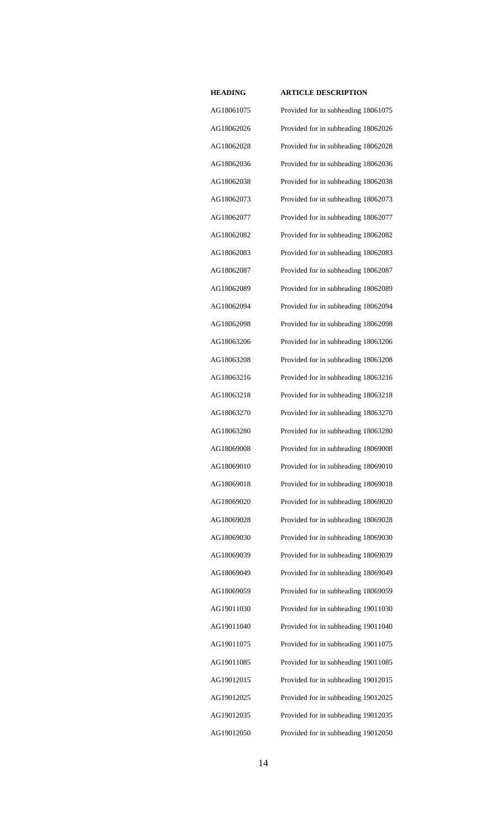AG18061075 Provided for in subheading 18061075 AG18062026 Provided for in subheading 18062026 AG18062028 Provided for in subheading 18062028 AG18062036 Provided for in subheading 18062036 AG18062038 Provided for in subheading 18062038 AG18062073 Provided for in subheading 18062073 AG18062077 Provided for in subheading 18062077 AG18062082 Provided for in subheading 18062082 AG18062083 Provided for in subheading 18062083 AG18062087 Provided for in subheading 18062087 AG18062089 Provided for in subheading 18062089 AG18062094 Provided for in subheading 18062094 AG18062098 Provided for in subheading 18062098 AG18063206 Provided for in subheading 18063206 AG18063208 Provided for in subheading 18063208 AG18063216 Provided for in subheading 18063216 AG18063218 Provided for in subheading 18063218 AG18063270 Provided for in subheading 18063270 AG18063280 Provided for in subheading 18063280 AG18069008 Provided for in subheading 18069008 AG18069010 Provided for in subheading 18069010 AG18069018 Provided for in subheading 18069018 AG18069020 Provided for in subheading 18069020 AG18069028 Provided for in subheading 18069028 AG18069030 Provided for in subheading 18069030 AG18069039 Provided for in subheading 18069039 AG18069049 Provided for in subheading 18069049 AG18069059 Provided for in subheading 18069059 AG19011030 Provided for in subheading 19011030 AG19011040 Provided for in subheading 19011040 AG19011075 Provided for in subheading 19011075 AG19011085 Provided for in subheading 19011085 AG19012015 Provided for in subheading 19012015 AG19012025 Provided for in subheading 19012025 AG19012035 Provided for in subheading 19012035 AG19012050 Provided for in subheading 19012050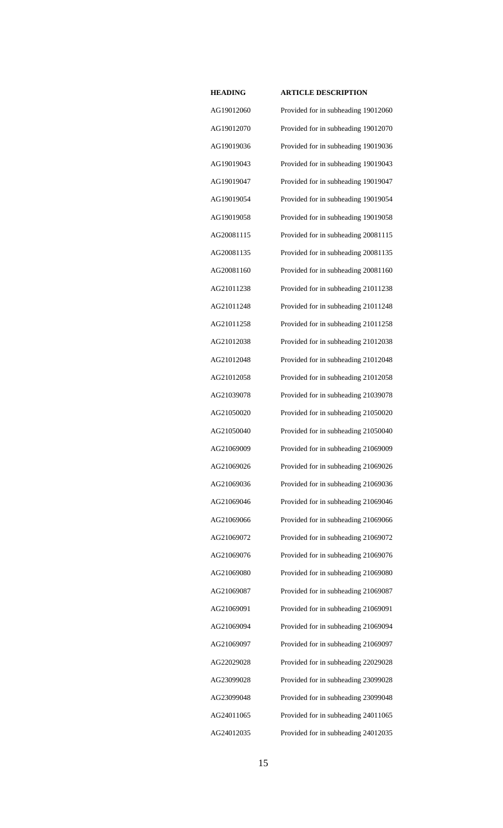AG19012060 Provided for in subheading 19012060 AG19012070 Provided for in subheading 19012070 AG19019036 Provided for in subheading 19019036 AG19019043 Provided for in subheading 19019043 AG19019047 Provided for in subheading 19019047 AG19019054 Provided for in subheading 19019054 AG19019058 Provided for in subheading 19019058 AG20081115 Provided for in subheading 20081115 AG20081135 Provided for in subheading 20081135 AG20081160 Provided for in subheading 20081160 AG21011238 Provided for in subheading 21011238 AG21011248 Provided for in subheading 21011248 AG21011258 Provided for in subheading 21011258 AG21012038 Provided for in subheading 21012038 AG21012048 Provided for in subheading 21012048 AG21012058 Provided for in subheading 21012058 AG21039078 Provided for in subheading 21039078 AG21050020 Provided for in subheading 21050020 AG21050040 Provided for in subheading 21050040 AG21069009 Provided for in subheading 21069009 AG21069026 Provided for in subheading 21069026 AG21069036 Provided for in subheading 21069036 AG21069046 Provided for in subheading 21069046 AG21069066 Provided for in subheading 21069066 AG21069072 Provided for in subheading 21069072 AG21069076 Provided for in subheading 21069076 AG21069080 Provided for in subheading 21069080 AG21069087 Provided for in subheading 21069087 AG21069091 Provided for in subheading 21069091 AG21069094 Provided for in subheading 21069094 AG21069097 Provided for in subheading 21069097 AG22029028 Provided for in subheading 22029028 AG23099028 Provided for in subheading 23099028 AG23099048 Provided for in subheading 23099048 AG24011065 Provided for in subheading 24011065 AG24012035 Provided for in subheading 24012035

| )91 |   |
|-----|---|
| )94 |   |
| )97 |   |
| 28  |   |
| 28  |   |
| )48 |   |
| )65 |   |
| )35 |   |
|     |   |
|     | 1 |